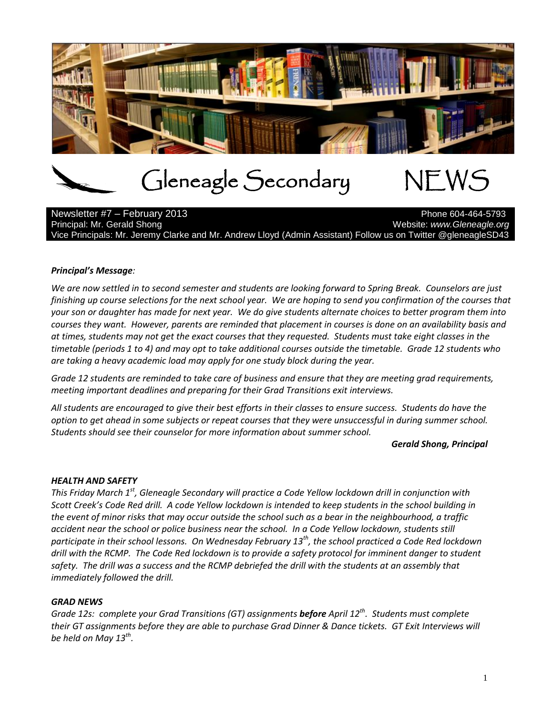

# Gleneagle Secondary NEWS

Newsletter #7 – February 2013 Principal: Mr. Gerald Shong Website: *www.Gleneagle.org* Website: *www.Gleneagle.org* Vice Principals: Mr. Jeremy Clarke and Mr. Andrew Lloyd (Admin Assistant) Follow us on Twitter @gleneagleSD43

# *Principal's Message:*

*We are now settled in to second semester and students are looking forward to Spring Break. Counselors are just finishing up course selections for the next school year. We are hoping to send you confirmation of the courses that your son or daughter has made for next year. We do give students alternate choices to better program them into courses they want. However, parents are reminded that placement in courses is done on an availability basis and at times, students may not get the exact courses that they requested. Students must take eight classes in the timetable (periods 1 to 4) and may opt to take additional courses outside the timetable. Grade 12 students who are taking a heavy academic load may apply for one study block during the year.* 

*Grade 12 students are reminded to take care of business and ensure that they are meeting grad requirements, meeting important deadlines and preparing for their Grad Transitions exit interviews.* 

*All students are encouraged to give their best efforts in their classes to ensure success. Students do have the option to get ahead in some subjects or repeat courses that they were unsuccessful in during summer school. Students should see their counselor for more information about summer school.*

### *Gerald Shong, Principal*

# *HEALTH AND SAFETY*

*This Friday March 1st, Gleneagle Secondary will practice a Code Yellow lockdown drill in conjunction with Scott Creek's Code Red drill. A code Yellow lockdown is intended to keep students in the school building in the event of minor risks that may occur outside the school such as a bear in the neighbourhood, a traffic accident near the school or police business near the school. In a Code Yellow lockdown, students still participate in their school lessons. On Wednesday February 13th, the school practiced a Code Red lockdown drill with the RCMP. The Code Red lockdown is to provide a safety protocol for imminent danger to student safety. The drill was a success and the RCMP debriefed the drill with the students at an assembly that immediately followed the drill.*

# *GRAD NEWS*

*Grade 12s: complete your Grad Transitions (GT) assignments before April 12th . Students must complete their GT assignments before they are able to purchase Grad Dinner & Dance tickets. GT Exit Interviews will be held on May 13th .*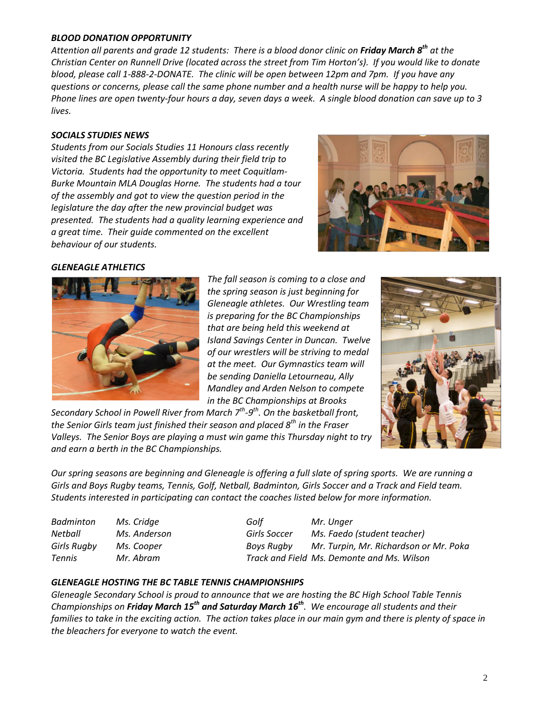## *BLOOD DONATION OPPORTUNITY*

*Attention all parents and grade 12 students: There is a blood donor clinic on Friday March 8 th at the Christian Center on Runnell Drive (located across the street from Tim Horton's). If you would like to donate blood, please call 1-888-2-DONATE. The clinic will be open between 12pm and 7pm. If you have any questions or concerns, please call the same phone number and a health nurse will be happy to help you. Phone lines are open twenty-four hours a day, seven days a week. A single blood donation can save up to 3 lives.*

## *SOCIALS STUDIES NEWS*

*Students from our Socials Studies 11 Honours class recently visited the BC Legislative Assembly during their field trip to Victoria. Students had the opportunity to meet Coquitlam-Burke Mountain MLA Douglas Horne. The students had a tour of the assembly and got to view the question period in the legislature the day after the new provincial budget was presented. The students had a quality learning experience and a great time. Their guide commented on the excellent behaviour of our students.* 



### *GLENEAGLE ATHLETICS*



*The fall season is coming to a close and the spring season is just beginning for Gleneagle athletes. Our Wrestling team is preparing for the BC Championships that are being held this weekend at Island Savings Center in Duncan. Twelve of our wrestlers will be striving to medal at the meet. Our Gymnastics team will be sending Daniella Letourneau, Ally Mandley and Arden Nelson to compete in the BC Championships at Brooks* 

*Secondary School in Powell River from March 7th -9 th . On the basketball front, the Senior Girls team just finished their season and placed 8th in the Fraser Valleys. The Senior Boys are playing a must win game this Thursday night to try and earn a berth in the BC Championships.*



*Our spring seasons are beginning and Gleneagle is offering a full slate of spring sports. We are running a Girls and Boys Rugby teams, Tennis, Golf, Netball, Badminton, Girls Soccer and a Track and Field team. Students interested in participating can contact the coaches listed below for more information.*

| Ms. Cridge |
|------------|
| Ms. Anders |
| Ms. Cooper |
| Mr. Abram  |
|            |

*Badminton Ms. Cridge Golf Mr. Unger Netball Ms. Anderson Girls Soccer Ms. Faedo (student teacher) Girls Rugby Ms. Cooper Boys Rugby Mr. Turpin, Mr. Richardson or Mr. Poka Tennis Mr. Abram Track and Field Ms. Demonte and Ms. Wilson*

### *GLENEAGLE HOSTING THE BC TABLE TENNIS CHAMPIONSHIPS*

*Gleneagle Secondary School is proud to announce that we are hosting the BC High School Table Tennis Championships on Friday March 15 th and Saturday March 16 th. We encourage all students and their families to take in the exciting action. The action takes place in our main gym and there is plenty of space in the bleachers for everyone to watch the event.*